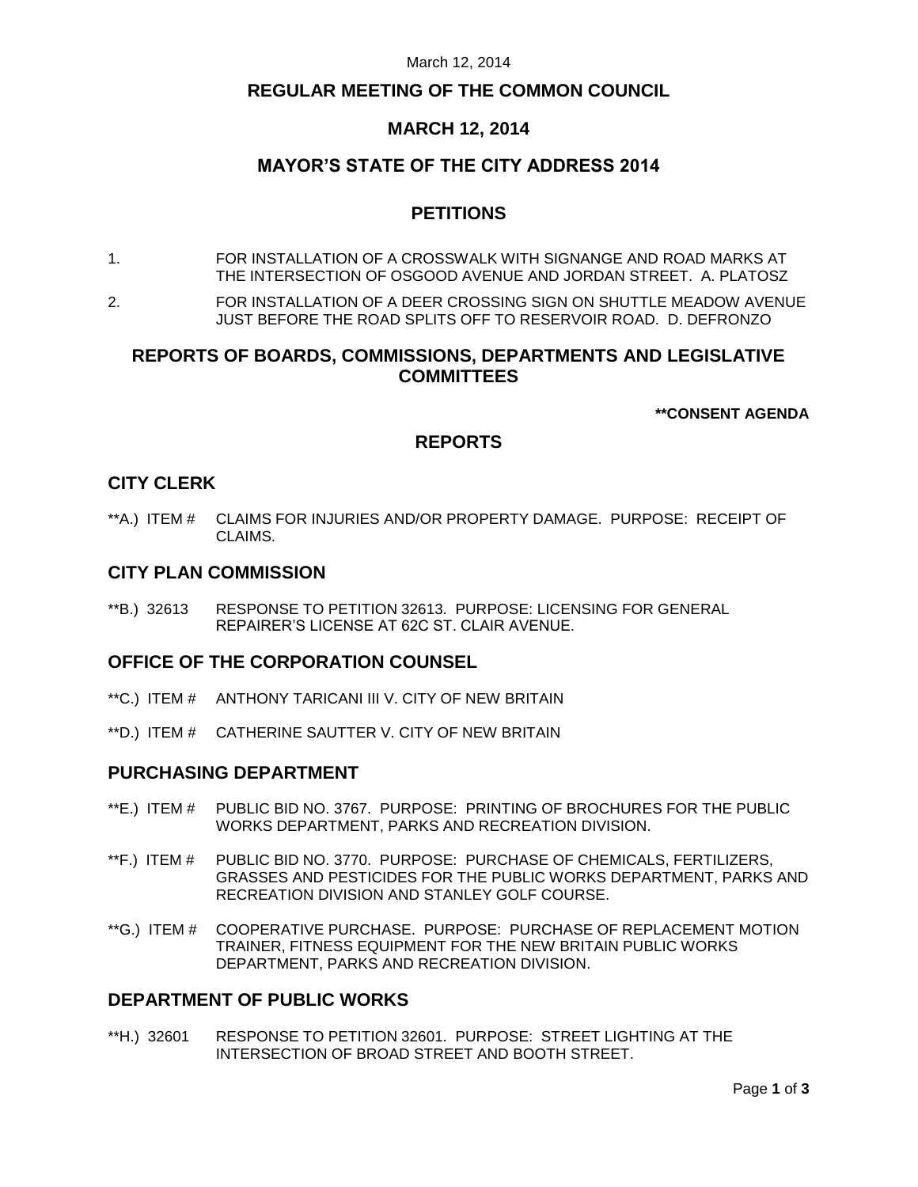#### March 12, 2014

### **REGULAR MEETING OF THE COMMON COUNCIL**

# **MARCH 12, 2014**

# **MAYOR'S STATE OF THE CITY ADDRESS 2014**

# **PETITIONS**

- 1. FOR INSTALLATION OF A CROSSWALK WITH SIGNANGE AND ROAD MARKS AT THE INTERSECTION OF OSGOOD AVENUE AND JORDAN STREET. A. PLATOSZ
- 2. FOR INSTALLATION OF A DEER CROSSING SIGN ON SHUTTLE MEADOW AVENUE JUST BEFORE THE ROAD SPLITS OFF TO RESERVOIR ROAD. D. DEFRONZO

# **REPORTS OF BOARDS, COMMISSIONS, DEPARTMENTS AND LEGISLATIVE COMMITTEES**

**\*\*CONSENT AGENDA**

# **REPORTS**

### **CITY CLERK**

\*\*A.) ITEM # CLAIMS FOR INJURIES AND/OR PROPERTY DAMAGE. PURPOSE: RECEIPT OF CLAIMS.

### **CITY PLAN COMMISSION**

\*\*B.) 32613 RESPONSE TO PETITION 32613. PURPOSE: LICENSING FOR GENERAL REPAIRER'S LICENSE AT 62C ST. CLAIR AVENUE.

#### **OFFICE OF THE CORPORATION COUNSEL**

- \*\*C.) ITEM # ANTHONY TARICANI III V. CITY OF NEW BRITAIN
- \*\*D.) ITEM # CATHERINE SAUTTER V. CITY OF NEW BRITAIN

#### **PURCHASING DEPARTMENT**

- \*\*E.) ITEM # PUBLIC BID NO. 3767. PURPOSE: PRINTING OF BROCHURES FOR THE PUBLIC WORKS DEPARTMENT, PARKS AND RECREATION DIVISION.
- \*\*F.) ITEM # PUBLIC BID NO. 3770. PURPOSE: PURCHASE OF CHEMICALS, FERTILIZERS, GRASSES AND PESTICIDES FOR THE PUBLIC WORKS DEPARTMENT, PARKS AND RECREATION DIVISION AND STANLEY GOLF COURSE.
- \*\*G.) ITEM # COOPERATIVE PURCHASE. PURPOSE: PURCHASE OF REPLACEMENT MOTION TRAINER, FITNESS EQUIPMENT FOR THE NEW BRITAIN PUBLIC WORKS DEPARTMENT, PARKS AND RECREATION DIVISION.

## **DEPARTMENT OF PUBLIC WORKS**

\*\*H.) 32601 RESPONSE TO PETITION 32601. PURPOSE: STREET LIGHTING AT THE INTERSECTION OF BROAD STREET AND BOOTH STREET.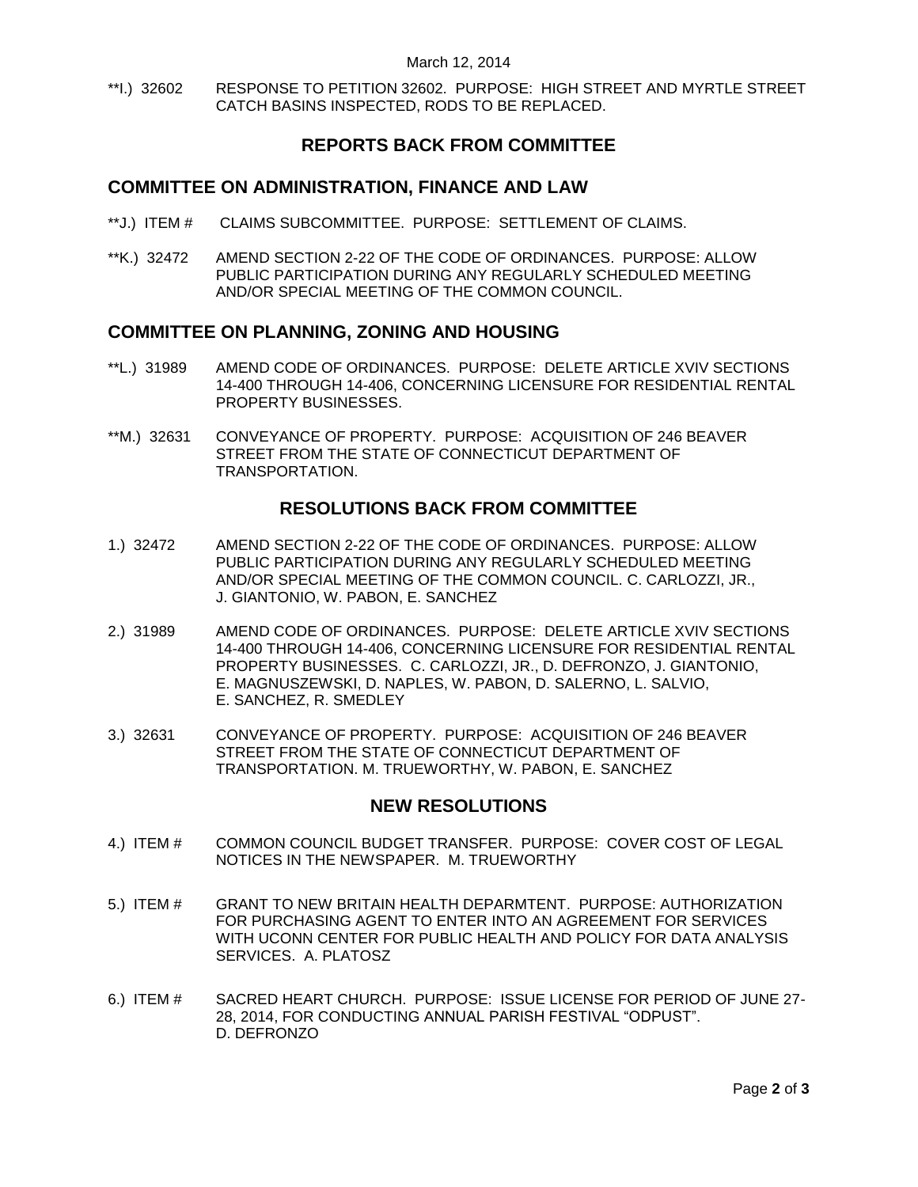\*\*I.) 32602 RESPONSE TO PETITION 32602. PURPOSE: HIGH STREET AND MYRTLE STREET CATCH BASINS INSPECTED, RODS TO BE REPLACED.

# **REPORTS BACK FROM COMMITTEE**

### **COMMITTEE ON ADMINISTRATION, FINANCE AND LAW**

- \*\*J.) ITEM # CLAIMS SUBCOMMITTEE. PURPOSE: SETTLEMENT OF CLAIMS.
- \*\*K.) 32472 AMEND SECTION 2-22 OF THE CODE OF ORDINANCES. PURPOSE: ALLOW PUBLIC PARTICIPATION DURING ANY REGULARLY SCHEDULED MEETING AND/OR SPECIAL MEETING OF THE COMMON COUNCIL.

## **COMMITTEE ON PLANNING, ZONING AND HOUSING**

- \*\*L.) 31989 AMEND CODE OF ORDINANCES. PURPOSE: DELETE ARTICLE XVIV SECTIONS 14-400 THROUGH 14-406, CONCERNING LICENSURE FOR RESIDENTIAL RENTAL PROPERTY BUSINESSES.
- \*\*M.) 32631 CONVEYANCE OF PROPERTY. PURPOSE: ACQUISITION OF 246 BEAVER STREET FROM THE STATE OF CONNECTICUT DEPARTMENT OF TRANSPORTATION.

## **RESOLUTIONS BACK FROM COMMITTEE**

- 1.) 32472 AMEND SECTION 2-22 OF THE CODE OF ORDINANCES. PURPOSE: ALLOW PUBLIC PARTICIPATION DURING ANY REGULARLY SCHEDULED MEETING AND/OR SPECIAL MEETING OF THE COMMON COUNCIL. C. CARLOZZI, JR., J. GIANTONIO, W. PABON, E. SANCHEZ
- 2.) 31989 AMEND CODE OF ORDINANCES. PURPOSE: DELETE ARTICLE XVIV SECTIONS 14-400 THROUGH 14-406, CONCERNING LICENSURE FOR RESIDENTIAL RENTAL PROPERTY BUSINESSES. C. CARLOZZI, JR., D. DEFRONZO, J. GIANTONIO, E. MAGNUSZEWSKI, D. NAPLES, W. PABON, D. SALERNO, L. SALVIO, E. SANCHEZ, R. SMEDLEY
- 3.) 32631 CONVEYANCE OF PROPERTY. PURPOSE: ACQUISITION OF 246 BEAVER STREET FROM THE STATE OF CONNECTICUT DEPARTMENT OF TRANSPORTATION. M. TRUEWORTHY, W. PABON, E. SANCHEZ

## **NEW RESOLUTIONS**

- 4.) ITEM # COMMON COUNCIL BUDGET TRANSFER. PURPOSE: COVER COST OF LEGAL NOTICES IN THE NEWSPAPER. M. TRUEWORTHY
- 5.) ITEM # GRANT TO NEW BRITAIN HEALTH DEPARMTENT. PURPOSE: AUTHORIZATION FOR PURCHASING AGENT TO ENTER INTO AN AGREEMENT FOR SERVICES WITH UCONN CENTER FOR PUBLIC HEALTH AND POLICY FOR DATA ANALYSIS SERVICES. A. PLATOSZ
- 6.) ITEM # SACRED HEART CHURCH. PURPOSE: ISSUE LICENSE FOR PERIOD OF JUNE 27- 28, 2014, FOR CONDUCTING ANNUAL PARISH FESTIVAL "ODPUST". D. DEFRONZO